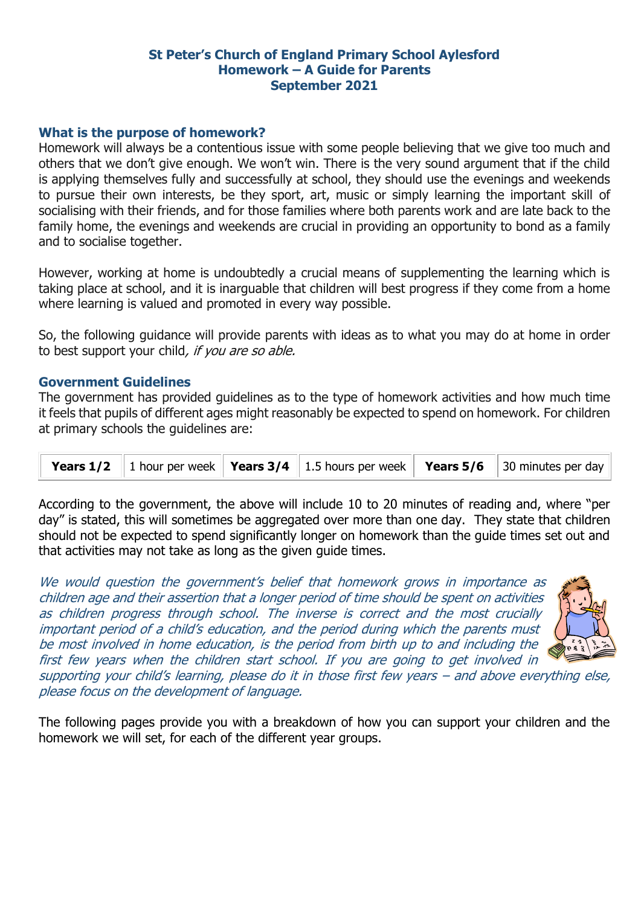# **St Peter's Church of England Primary School Aylesford Homework – A Guide for Parents September 2021**

### **What is the purpose of homework?**

Homework will always be a contentious issue with some people believing that we give too much and others that we don't give enough. We won't win. There is the very sound argument that if the child is applying themselves fully and successfully at school, they should use the evenings and weekends to pursue their own interests, be they sport, art, music or simply learning the important skill of socialising with their friends, and for those families where both parents work and are late back to the family home, the evenings and weekends are crucial in providing an opportunity to bond as a family and to socialise together.

However, working at home is undoubtedly a crucial means of supplementing the learning which is taking place at school, and it is inarguable that children will best progress if they come from a home where learning is valued and promoted in every way possible.

So, the following guidance will provide parents with ideas as to what you may do at home in order to best support your child, if you are so able.

### **Government Guidelines**

The government has provided guidelines as to the type of homework activities and how much time it feels that pupils of different ages might reasonably be expected to spend on homework. For children at primary schools the guidelines are:

|  |  |  |  |  | <b>Years 1/2</b>   1 hour per week   <b>Years 3/4</b>   1.5 hours per week   <b>Years 5/6</b>   30 minutes per day |
|--|--|--|--|--|--------------------------------------------------------------------------------------------------------------------|
|--|--|--|--|--|--------------------------------------------------------------------------------------------------------------------|

According to the government, the above will include 10 to 20 minutes of reading and, where "per day" is stated, this will sometimes be aggregated over more than one day. They state that children should not be expected to spend significantly longer on homework than the guide times set out and that activities may not take as long as the given guide times.

We would question the government's belief that homework grows in importance as children age and their assertion that a longer period of time should be spent on activities as children progress through school. The inverse is correct and the most crucially important period of a child's education, and the period during which the parents must be most involved in home education, is the period from birth up to and including the first few years when the children start school. If you are going to get involved in



supporting your child's learning, please do it in those first few years – and above everything else, please focus on the development of language.

The following pages provide you with a breakdown of how you can support your children and the homework we will set, for each of the different year groups.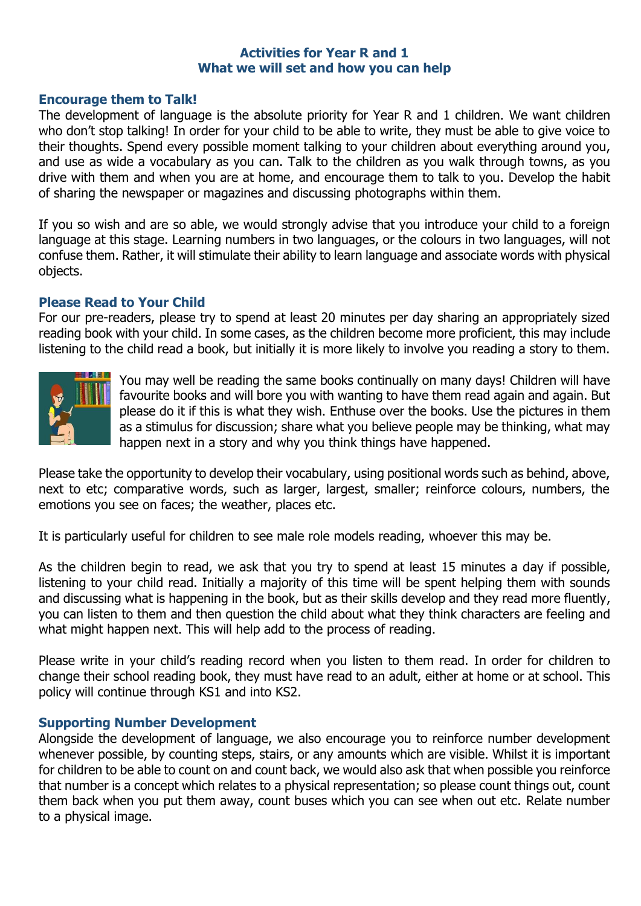# **Activities for Year R and 1 What we will set and how you can help**

### **Encourage them to Talk!**

The development of language is the absolute priority for Year R and 1 children. We want children who don't stop talking! In order for your child to be able to write, they must be able to give voice to their thoughts. Spend every possible moment talking to your children about everything around you, and use as wide a vocabulary as you can. Talk to the children as you walk through towns, as you drive with them and when you are at home, and encourage them to talk to you. Develop the habit of sharing the newspaper or magazines and discussing photographs within them.

If you so wish and are so able, we would strongly advise that you introduce your child to a foreign language at this stage. Learning numbers in two languages, or the colours in two languages, will not confuse them. Rather, it will stimulate their ability to learn language and associate words with physical objects.

### **Please Read to Your Child**

For our pre-readers, please try to spend at least 20 minutes per day sharing an appropriately sized reading book with your child. In some cases, as the children become more proficient, this may include listening to the child read a book, but initially it is more likely to involve you reading a story to them.



You may well be reading the same books continually on many days! Children will have favourite books and will bore you with wanting to have them read again and again. But please do it if this is what they wish. Enthuse over the books. Use the pictures in them as a stimulus for discussion; share what you believe people may be thinking, what may happen next in a story and why you think things have happened.

Please take the opportunity to develop their vocabulary, using positional words such as behind, above, next to etc; comparative words, such as larger, largest, smaller; reinforce colours, numbers, the emotions you see on faces; the weather, places etc.

It is particularly useful for children to see male role models reading, whoever this may be.

As the children begin to read, we ask that you try to spend at least 15 minutes a day if possible, listening to your child read. Initially a majority of this time will be spent helping them with sounds and discussing what is happening in the book, but as their skills develop and they read more fluently, you can listen to them and then question the child about what they think characters are feeling and what might happen next. This will help add to the process of reading.

Please write in your child's reading record when you listen to them read. In order for children to change their school reading book, they must have read to an adult, either at home or at school. This policy will continue through KS1 and into KS2.

## **Supporting Number Development**

Alongside the development of language, we also encourage you to reinforce number development whenever possible, by counting steps, stairs, or any amounts which are visible. Whilst it is important for children to be able to count on and count back, we would also ask that when possible you reinforce that number is a concept which relates to a physical representation; so please count things out, count them back when you put them away, count buses which you can see when out etc. Relate number to a physical image.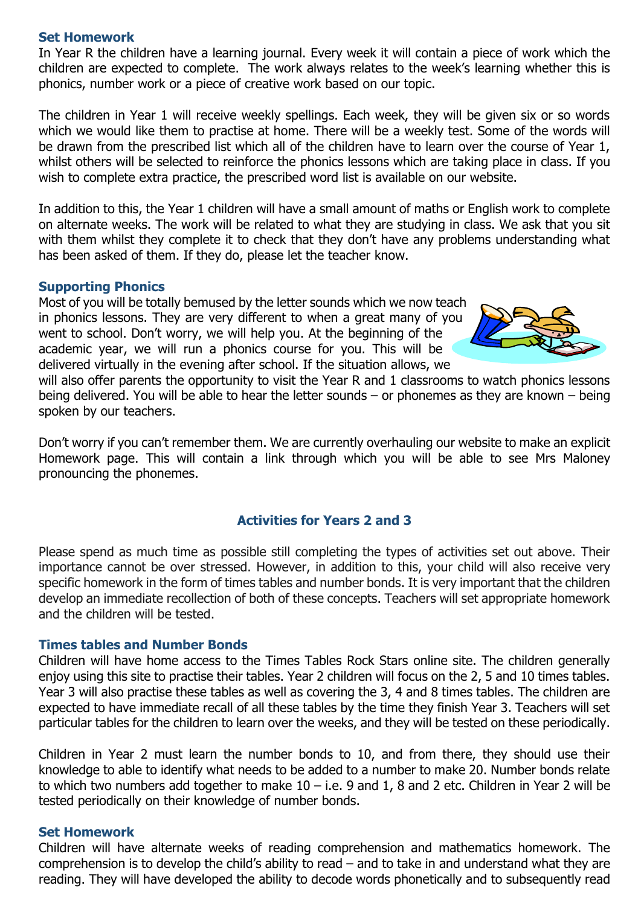## **Set Homework**

In Year R the children have a learning journal. Every week it will contain a piece of work which the children are expected to complete. The work always relates to the week's learning whether this is phonics, number work or a piece of creative work based on our topic.

The children in Year 1 will receive weekly spellings. Each week, they will be given six or so words which we would like them to practise at home. There will be a weekly test. Some of the words will be drawn from the prescribed list which all of the children have to learn over the course of Year 1, whilst others will be selected to reinforce the phonics lessons which are taking place in class. If you wish to complete extra practice, the prescribed word list is available on our website.

In addition to this, the Year 1 children will have a small amount of maths or English work to complete on alternate weeks. The work will be related to what they are studying in class. We ask that you sit with them whilst they complete it to check that they don't have any problems understanding what has been asked of them. If they do, please let the teacher know.

#### **Supporting Phonics**

Most of you will be totally bemused by the letter sounds which we now teach in phonics lessons. They are very different to when a great many of you went to school. Don't worry, we will help you. At the beginning of the academic year, we will run a phonics course for you. This will be delivered virtually in the evening after school. If the situation allows, we



will also offer parents the opportunity to visit the Year R and 1 classrooms to watch phonics lessons being delivered. You will be able to hear the letter sounds – or phonemes as they are known – being spoken by our teachers.

Don't worry if you can't remember them. We are currently overhauling our website to make an explicit Homework page. This will contain a link through which you will be able to see Mrs Maloney pronouncing the phonemes.

## **Activities for Years 2 and 3**

Please spend as much time as possible still completing the types of activities set out above. Their importance cannot be over stressed. However, in addition to this, your child will also receive very specific homework in the form of times tables and number bonds. It is very important that the children develop an immediate recollection of both of these concepts. Teachers will set appropriate homework and the children will be tested.

## **Times tables and Number Bonds**

Children will have home access to the Times Tables Rock Stars online site. The children generally enjoy using this site to practise their tables. Year 2 children will focus on the 2, 5 and 10 times tables. Year 3 will also practise these tables as well as covering the 3, 4 and 8 times tables. The children are expected to have immediate recall of all these tables by the time they finish Year 3. Teachers will set particular tables for the children to learn over the weeks, and they will be tested on these periodically.

Children in Year 2 must learn the number bonds to 10, and from there, they should use their knowledge to able to identify what needs to be added to a number to make 20. Number bonds relate to which two numbers add together to make  $10 - i.e.$  9 and 1, 8 and 2 etc. Children in Year 2 will be tested periodically on their knowledge of number bonds.

### **Set Homework**

Children will have alternate weeks of reading comprehension and mathematics homework. The comprehension is to develop the child's ability to read – and to take in and understand what they are reading. They will have developed the ability to decode words phonetically and to subsequently read